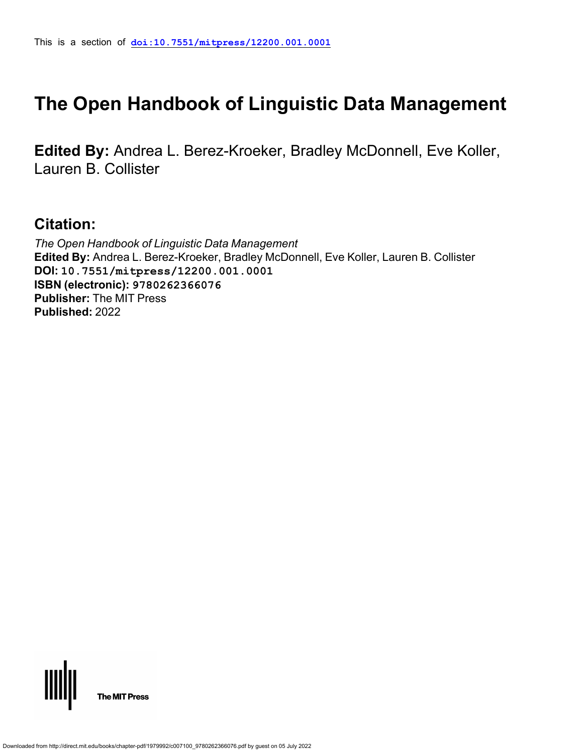# **The Open Handbook of Linguistic Data Management**

**Edited By:** Andrea L. Berez-Kroeker, Bradley McDonnell, Eve Koller, Lauren B. Collister

# **Citation:**

*The Open Handbook of Linguistic Data Management* **Edited By:** Andrea L. Berez-Kroeker, Bradley McDonnell, Eve Koller, Lauren B. Collister **DOI: 10.7551/mitpress/12200.001.0001 ISBN (electronic): 9780262366076 Publisher:** The MIT Press **Published:** 2022

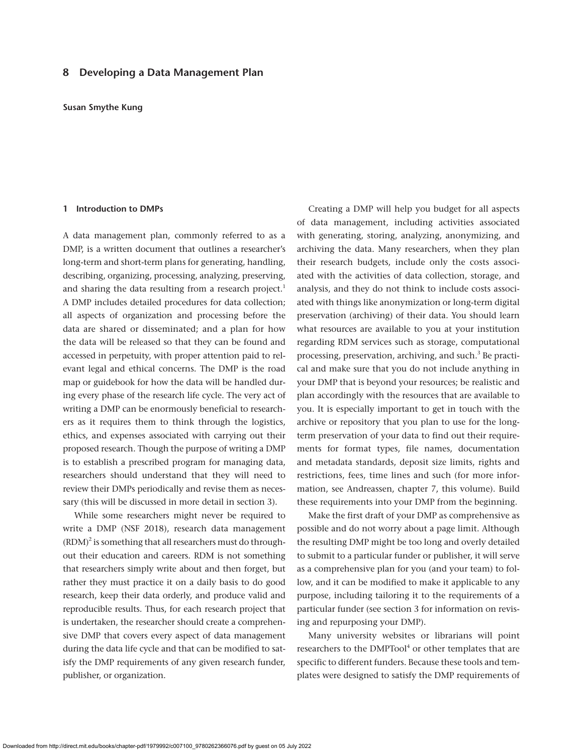### **8 Developing a Data Management Plan**

**Susan Smythe Kung**

### **1 Introduction to DMPs**

A data management plan, commonly referred to as a DMP, is a written document that outlines a researcher's long-term and short-term plans for generating, handling, describing, organizing, processing, analyzing, preserving, and sharing the data resulting from a research project.<sup>1</sup> A DMP includes detailed procedures for data collection; all aspects of organization and processing before the data are shared or disseminated; and a plan for how the data will be released so that they can be found and accessed in perpetuity, with proper attention paid to relevant legal and ethical concerns. The DMP is the road map or guidebook for how the data will be handled during every phase of the research life cycle. The very act of writing a DMP can be enormously beneficial to researchers as it requires them to think through the logistics, ethics, and expenses associated with carrying out their proposed research. Though the purpose of writing a DMP is to establish a prescribed program for managing data, researchers should understand that they will need to review their DMPs periodically and revise them as necessary (this will be discussed in more detail in section 3).

While some researchers might never be required to write a DMP (NSF 2018), research data management  $(RDM)^2$  is something that all researchers must do throughout their education and careers. RDM is not something that researchers simply write about and then forget, but rather they must practice it on a daily basis to do good research, keep their data orderly, and produce valid and reproducible results. Thus, for each research project that is undertaken, the researcher should create a comprehensive DMP that covers every aspect of data management during the data life cycle and that can be modified to satisfy the DMP requirements of any given research funder, publisher, or organization.

Creating a DMP will help you budget for all aspects of data management, including activities associated with generating, storing, analyzing, anonymizing, and archiving the data. Many researchers, when they plan their research budgets, include only the costs associated with the activities of data collection, storage, and analysis, and they do not think to include costs associated with things like anonymization or long-term digital preservation (archiving) of their data. You should learn what resources are available to you at your institution regarding RDM services such as storage, computational processing, preservation, archiving, and such.<sup>3</sup> Be practical and make sure that you do not include anything in your DMP that is beyond your resources; be realistic and plan accordingly with the resources that are available to you. It is especially important to get in touch with the archive or repository that you plan to use for the longterm preservation of your data to find out their requirements for format types, file names, documentation and metadata standards, deposit size limits, rights and restrictions, fees, time lines and such (for more information, see Andreassen, chapter 7, this volume). Build these requirements into your DMP from the beginning.

Make the first draft of your DMP as comprehensive as possible and do not worry about a page limit. Although the resulting DMP might be too long and overly detailed to submit to a particular funder or publisher, it will serve as a comprehensive plan for you (and your team) to follow, and it can be modified to make it applicable to any purpose, including tailoring it to the requirements of a particular funder (see section 3 for information on revising and repurposing your DMP).

Many university websites or librarians will point researchers to the DMPTool<sup>4</sup> or other templates that are specific to different funders. Because these tools and templates were designed to satisfy the DMP requirements of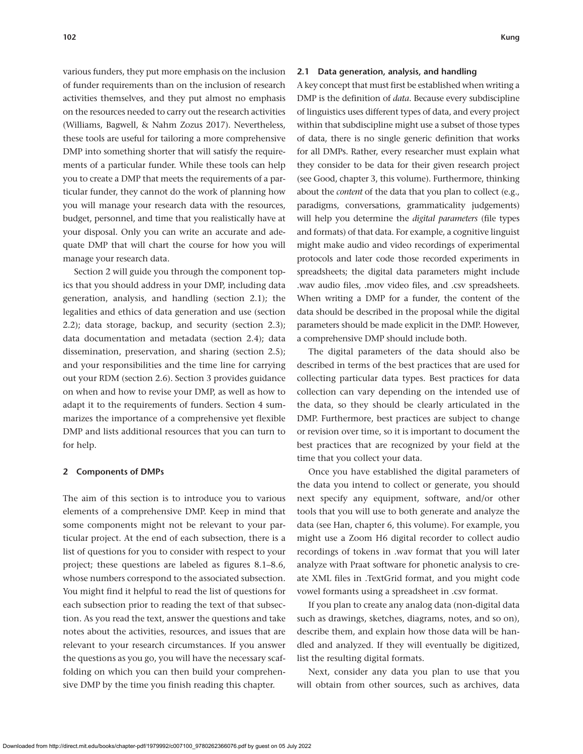various funders, they put more emphasis on the inclusion of funder requirements than on the inclusion of research activities themselves, and they put almost no emphasis on the resources needed to carry out the research activities (Williams, Bagwell, & Nahm Zozus 2017). Nevertheless, these tools are useful for tailoring a more comprehensive DMP into something shorter that will satisfy the requirements of a particular funder. While these tools can help you to create a DMP that meets the requirements of a particular funder, they cannot do the work of planning how you will manage your research data with the resources, budget, personnel, and time that you realistically have at your disposal. Only you can write an accurate and adequate DMP that will chart the course for how you will manage your research data.

Section 2 will guide you through the component topics that you should address in your DMP, including data generation, analysis, and handling (section 2.1); the legalities and ethics of data generation and use (section 2.2); data storage, backup, and security (section 2.3); data documentation and metadata (section 2.4); data dissemination, preservation, and sharing (section 2.5); and your responsibilities and the time line for carrying out your RDM (section 2.6). Section 3 provides guidance on when and how to revise your DMP, as well as how to adapt it to the requirements of funders. Section 4 summarizes the importance of a comprehensive yet flexible DMP and lists additional resources that you can turn to for help.

### **2 Components of DMPs**

The aim of this section is to introduce you to various elements of a comprehensive DMP. Keep in mind that some components might not be relevant to your particular project. At the end of each subsection, there is a list of questions for you to consider with respect to your project; these questions are labeled as figures 8.1–8.6, whose numbers correspond to the associated subsection. You might find it helpful to read the list of questions for each subsection prior to reading the text of that subsection. As you read the text, answer the questions and take notes about the activities, resources, and issues that are relevant to your research circumstances. If you answer the questions as you go, you will have the necessary scaffolding on which you can then build your comprehensive DMP by the time you finish reading this chapter.

### **2.1 Data generation, analysis, and handling**

A key concept that must first be established when writing a DMP is the definition of *data*. Because every subdiscipline of linguistics uses different types of data, and every project within that subdiscipline might use a subset of those types of data, there is no single generic definition that works for all DMPs. Rather, every researcher must explain what they consider to be data for their given research project (see Good, chapter 3, this volume). Furthermore, thinking about the *content* of the data that you plan to collect (e.g., paradigms, conversations, grammaticality judgements) will help you determine the *digital parameters* (file types and formats) of that data. For example, a cognitive linguist might make audio and video recordings of experimental protocols and later code those recorded experiments in spreadsheets; the digital data parameters might include .wav audio files, .mov video files, and .csv spreadsheets. When writing a DMP for a funder, the content of the data should be described in the proposal while the digital parameters should be made explicit in the DMP. However, a comprehensive DMP should include both.

The digital parameters of the data should also be described in terms of the best practices that are used for collecting particular data types. Best practices for data collection can vary depending on the intended use of the data, so they should be clearly articulated in the DMP. Furthermore, best practices are subject to change or revision over time, so it is important to document the best practices that are recognized by your field at the time that you collect your data.

Once you have established the digital parameters of the data you intend to collect or generate, you should next specify any equipment, software, and/or other tools that you will use to both generate and analyze the data (see Han, chapter 6, this volume). For example, you might use a Zoom H6 digital recorder to collect audio recordings of tokens in .wav format that you will later analyze with Praat software for phonetic analysis to create XML files in .TextGrid format, and you might code vowel formants using a spreadsheet in .csv format.

If you plan to create any analog data (non-digital data such as drawings, sketches, diagrams, notes, and so on), describe them, and explain how those data will be handled and analyzed. If they will eventually be digitized, list the resulting digital formats.

Next, consider any data you plan to use that you will obtain from other sources, such as archives, data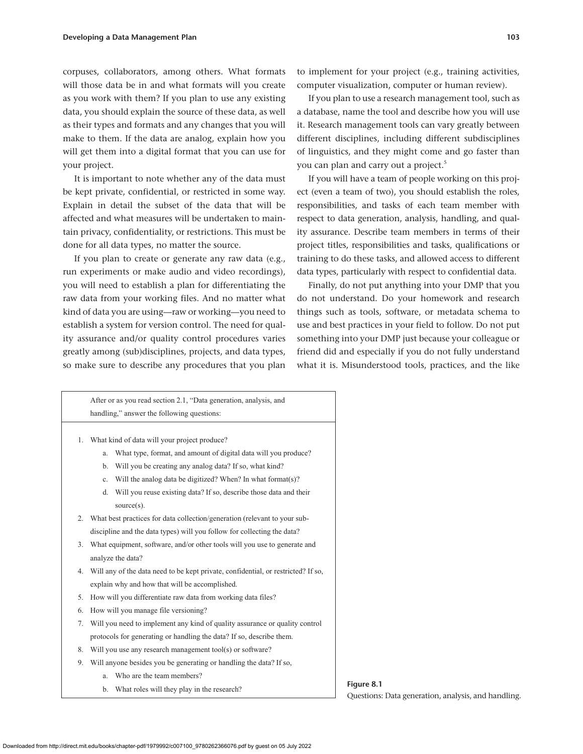corpuses, collaborators, among others. What formats will those data be in and what formats will you create as you work with them? If you plan to use any existing data, you should explain the source of these data, as well as their types and formats and any changes that you will make to them. If the data are analog, explain how you will get them into a digital format that you can use for your project.

It is important to note whether any of the data must be kept private, confidential, or restricted in some way. Explain in detail the subset of the data that will be affected and what measures will be undertaken to maintain privacy, confidentiality, or restrictions. This must be done for all data types, no matter the source.

If you plan to create or generate any raw data (e.g., run experiments or make audio and video recordings), you will need to establish a plan for differentiating the raw data from your working files. And no matter what kind of data you are using—raw or working—you need to establish a system for version control. The need for quality assurance and/or quality control procedures varies greatly among (sub)disciplines, projects, and data types, so make sure to describe any procedures that you plan to implement for your project (e.g., training activities, computer visualization, computer or human review).

If you plan to use a research management tool, such as a database, name the tool and describe how you will use it. Research management tools can vary greatly between different disciplines, including different subdisciplines of linguistics, and they might come and go faster than you can plan and carry out a project.<sup>5</sup>

If you will have a team of people working on this project (even a team of two), you should establish the roles, responsibilities, and tasks of each team member with respect to data generation, analysis, handling, and quality assurance. Describe team members in terms of their project titles, responsibilities and tasks, qualifications or training to do these tasks, and allowed access to different data types, particularly with respect to confidential data.

Finally, do not put anything into your DMP that you do not understand. Do your homework and research things such as tools, software, or metadata schema to use and best practices in your field to follow. Do not put something into your DMP just because your colleague or friend did and especially if you do not fully understand what it is. Misunderstood tools, practices, and the like

|    | After or as you read section 2.1, "Data generation, analysis, and                 |  |  |  |  |
|----|-----------------------------------------------------------------------------------|--|--|--|--|
|    | handling," answer the following questions:                                        |  |  |  |  |
|    |                                                                                   |  |  |  |  |
| 1. | What kind of data will your project produce?                                      |  |  |  |  |
|    | What type, format, and amount of digital data will you produce?<br>a.             |  |  |  |  |
|    | Will you be creating any analog data? If so, what kind?<br>b.                     |  |  |  |  |
|    | Will the analog data be digitized? When? In what format(s)?<br>c.                 |  |  |  |  |
|    | d.<br>Will you reuse existing data? If so, describe those data and their          |  |  |  |  |
|    | $source(s)$ .                                                                     |  |  |  |  |
| 2. | What best practices for data collection/generation (relevant to your sub-         |  |  |  |  |
|    | discipline and the data types) will you follow for collecting the data?           |  |  |  |  |
| 3. | What equipment, software, and/or other tools will you use to generate and         |  |  |  |  |
|    | analyze the data?                                                                 |  |  |  |  |
| 4. | Will any of the data need to be kept private, confidential, or restricted? If so, |  |  |  |  |
|    | explain why and how that will be accomplished.                                    |  |  |  |  |
| 5. | How will you differentiate raw data from working data files?                      |  |  |  |  |
| 6. | How will you manage file versioning?                                              |  |  |  |  |
| 7. | Will you need to implement any kind of quality assurance or quality control       |  |  |  |  |
|    | protocols for generating or handling the data? If so, describe them.              |  |  |  |  |
| 8. | Will you use any research management tool(s) or software?                         |  |  |  |  |
| 9. | Will anyone besides you be generating or handling the data? If so,                |  |  |  |  |
|    | Who are the team members?<br>a.                                                   |  |  |  |  |
|    | What roles will they play in the research?<br>b.                                  |  |  |  |  |
|    |                                                                                   |  |  |  |  |

Questions: Data generation, analysis, and handling.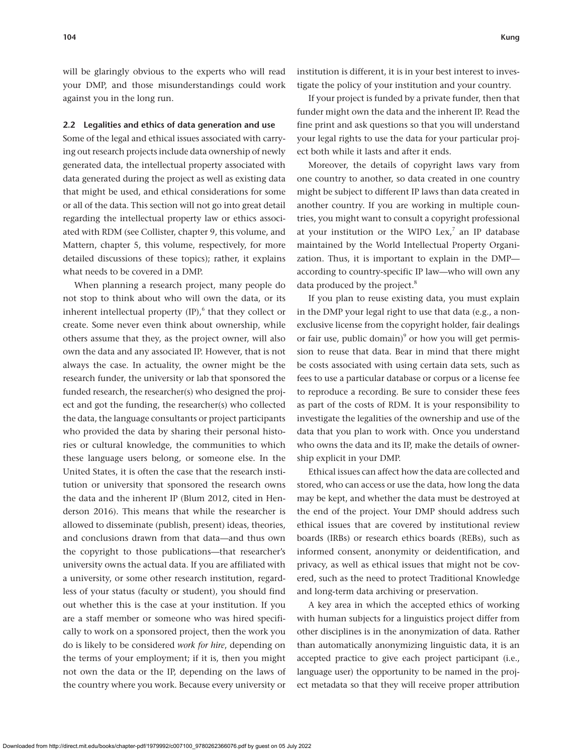will be glaringly obvious to the experts who will read your DMP, and those misunderstandings could work against you in the long run.

### **2.2 Legalities and ethics of data generation and use**

Some of the legal and ethical issues associated with carrying out research projects include data ownership of newly generated data, the intellectual property associated with data generated during the project as well as existing data that might be used, and ethical considerations for some or all of the data. This section will not go into great detail regarding the intellectual property law or ethics associated with RDM (see Collister, chapter 9, this volume, and Mattern, chapter 5, this volume, respectively, for more detailed discussions of these topics); rather, it explains what needs to be covered in a DMP.

When planning a research project, many people do not stop to think about who will own the data, or its inherent intellectual property  $(IP)$ ,  $6$  that they collect or create. Some never even think about ownership, while others assume that they, as the project owner, will also own the data and any associated IP. However, that is not always the case. In actuality, the owner might be the research funder, the university or lab that sponsored the funded research, the researcher(s) who designed the project and got the funding, the researcher(s) who collected the data, the language consultants or project participants who provided the data by sharing their personal histories or cultural knowledge, the communities to which these language users belong, or someone else. In the United States, it is often the case that the research institution or university that sponsored the research owns the data and the inherent IP (Blum 2012, cited in Henderson 2016). This means that while the researcher is allowed to disseminate (publish, present) ideas, theories, and conclusions drawn from that data—and thus own the copyright to those publications—that researcher's university owns the actual data. If you are affiliated with a university, or some other research institution, regardless of your status (faculty or student), you should find out whether this is the case at your institution. If you are a staff member or someone who was hired specifically to work on a sponsored project, then the work you do is likely to be considered *work for hire*, depending on the terms of your employment; if it is, then you might not own the data or the IP, depending on the laws of the country where you work. Because every university or

institution is different, it is in your best interest to investigate the policy of your institution and your country.

If your project is funded by a private funder, then that funder might own the data and the inherent IP. Read the fine print and ask questions so that you will understand your legal rights to use the data for your particular project both while it lasts and after it ends.

Moreover, the details of copyright laws vary from one country to another, so data created in one country might be subject to different IP laws than data created in another country. If you are working in multiple countries, you might want to consult a copyright professional at your institution or the WIPO Lex, $^7$  an IP database maintained by the World Intellectual Property Organization. Thus, it is important to explain in the DMP according to country-specific IP law—who will own any data produced by the project.<sup>8</sup>

If you plan to reuse existing data, you must explain in the DMP your legal right to use that data (e.g., a nonexclusive license from the copyright holder, fair dealings or fair use, public domain)<sup>9</sup> or how you will get permission to reuse that data. Bear in mind that there might be costs associated with using certain data sets, such as fees to use a particular database or corpus or a license fee to reproduce a recording. Be sure to consider these fees as part of the costs of RDM. It is your responsibility to investigate the legalities of the ownership and use of the data that you plan to work with. Once you understand who owns the data and its IP, make the details of ownership explicit in your DMP.

Ethical issues can affect how the data are collected and stored, who can access or use the data, how long the data may be kept, and whether the data must be destroyed at the end of the project. Your DMP should address such ethical issues that are covered by institutional review boards (IRBs) or research ethics boards (REBs), such as informed consent, anonymity or deidentification, and privacy, as well as ethical issues that might not be covered, such as the need to protect Traditional Knowledge and long-term data archiving or preservation.

A key area in which the accepted ethics of working with human subjects for a linguistics project differ from other disciplines is in the anonymization of data. Rather than automatically anonymizing linguistic data, it is an accepted practice to give each project participant (i.e., language user) the opportunity to be named in the project metadata so that they will receive proper attribution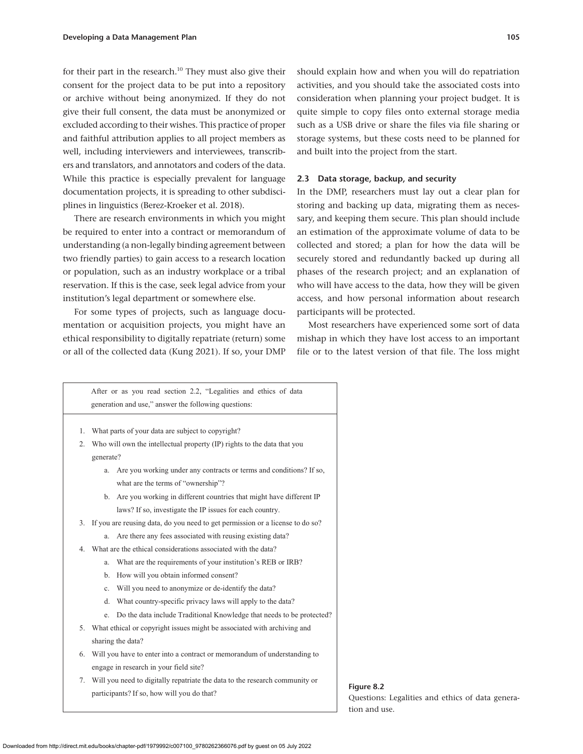for their part in the research. $^{10}$  They must also give their consent for the project data to be put into a repository or archive without being anonymized. If they do not give their full consent, the data must be anonymized or excluded according to their wishes. This practice of proper and faithful attribution applies to all project members as well, including interviewers and interviewees, transcribers and translators, and annotators and coders of the data. While this practice is especially prevalent for language documentation projects, it is spreading to other subdisciplines in linguistics (Berez-Kroeker et al. 2018).

There are research environments in which you might be required to enter into a contract or memorandum of understanding (a non-legally binding agreement between two friendly parties) to gain access to a research location or population, such as an industry workplace or a tribal reservation. If this is the case, seek legal advice from your institution's legal department or somewhere else.

For some types of projects, such as language documentation or acquisition projects, you might have an ethical responsibility to digitally repatriate (return) some or all of the collected data (Kung 2021). If so, your DMP should explain how and when you will do repatriation activities, and you should take the associated costs into consideration when planning your project budget. It is quite simple to copy files onto external storage media such as a USB drive or share the files via file sharing or storage systems, but these costs need to be planned for and built into the project from the start.

### **2.3 Data storage, backup, and security**

In the DMP, researchers must lay out a clear plan for storing and backing up data, migrating them as necessary, and keeping them secure. This plan should include an estimation of the approximate volume of data to be collected and stored; a plan for how the data will be securely stored and redundantly backed up during all phases of the research project; and an explanation of who will have access to the data, how they will be given access, and how personal information about research participants will be protected.

Most researchers have experienced some sort of data mishap in which they have lost access to an important file or to the latest version of that file. The loss might

| After or as you read section 2.2, "Legalities and ethics of data<br>generation and use," answer the following questions:<br>What parts of your data are subject to copyright?<br>1.<br>2.<br>Who will own the intellectual property (IP) rights to the data that you<br>generate?<br>Are you working under any contracts or terms and conditions? If so,<br>a.<br>what are the terms of "ownership"?<br>b. Are you working in different countries that might have different IP<br>laws? If so, investigate the IP issues for each country.<br>If you are reusing data, do you need to get permission or a license to do so?<br>3.<br>Are there any fees associated with reusing existing data?<br>a.<br>What are the ethical considerations associated with the data?<br>4.<br>What are the requirements of your institution's REB or IRB?<br>a.<br>How will you obtain informed consent?<br>b.<br>Will you need to anonymize or de-identify the data?<br>c.<br>What country-specific privacy laws will apply to the data?<br>d.<br>Do the data include Traditional Knowledge that needs to be protected?<br>e.<br>What ethical or copyright issues might be associated with archiving and<br>5.<br>sharing the data?<br>Will you have to enter into a contract or memorandum of understanding to<br>6.<br>engage in research in your field site?<br>Will you need to digitally repatriate the data to the research community or<br>7.<br>Figure 8.2<br>participants? If so, how will you do that? |  |  |           |  |  |  |
|----------------------------------------------------------------------------------------------------------------------------------------------------------------------------------------------------------------------------------------------------------------------------------------------------------------------------------------------------------------------------------------------------------------------------------------------------------------------------------------------------------------------------------------------------------------------------------------------------------------------------------------------------------------------------------------------------------------------------------------------------------------------------------------------------------------------------------------------------------------------------------------------------------------------------------------------------------------------------------------------------------------------------------------------------------------------------------------------------------------------------------------------------------------------------------------------------------------------------------------------------------------------------------------------------------------------------------------------------------------------------------------------------------------------------------------------------------------------------------------------------|--|--|-----------|--|--|--|
|                                                                                                                                                                                                                                                                                                                                                                                                                                                                                                                                                                                                                                                                                                                                                                                                                                                                                                                                                                                                                                                                                                                                                                                                                                                                                                                                                                                                                                                                                                    |  |  |           |  |  |  |
|                                                                                                                                                                                                                                                                                                                                                                                                                                                                                                                                                                                                                                                                                                                                                                                                                                                                                                                                                                                                                                                                                                                                                                                                                                                                                                                                                                                                                                                                                                    |  |  |           |  |  |  |
|                                                                                                                                                                                                                                                                                                                                                                                                                                                                                                                                                                                                                                                                                                                                                                                                                                                                                                                                                                                                                                                                                                                                                                                                                                                                                                                                                                                                                                                                                                    |  |  |           |  |  |  |
|                                                                                                                                                                                                                                                                                                                                                                                                                                                                                                                                                                                                                                                                                                                                                                                                                                                                                                                                                                                                                                                                                                                                                                                                                                                                                                                                                                                                                                                                                                    |  |  |           |  |  |  |
|                                                                                                                                                                                                                                                                                                                                                                                                                                                                                                                                                                                                                                                                                                                                                                                                                                                                                                                                                                                                                                                                                                                                                                                                                                                                                                                                                                                                                                                                                                    |  |  |           |  |  |  |
|                                                                                                                                                                                                                                                                                                                                                                                                                                                                                                                                                                                                                                                                                                                                                                                                                                                                                                                                                                                                                                                                                                                                                                                                                                                                                                                                                                                                                                                                                                    |  |  |           |  |  |  |
|                                                                                                                                                                                                                                                                                                                                                                                                                                                                                                                                                                                                                                                                                                                                                                                                                                                                                                                                                                                                                                                                                                                                                                                                                                                                                                                                                                                                                                                                                                    |  |  |           |  |  |  |
|                                                                                                                                                                                                                                                                                                                                                                                                                                                                                                                                                                                                                                                                                                                                                                                                                                                                                                                                                                                                                                                                                                                                                                                                                                                                                                                                                                                                                                                                                                    |  |  |           |  |  |  |
|                                                                                                                                                                                                                                                                                                                                                                                                                                                                                                                                                                                                                                                                                                                                                                                                                                                                                                                                                                                                                                                                                                                                                                                                                                                                                                                                                                                                                                                                                                    |  |  |           |  |  |  |
|                                                                                                                                                                                                                                                                                                                                                                                                                                                                                                                                                                                                                                                                                                                                                                                                                                                                                                                                                                                                                                                                                                                                                                                                                                                                                                                                                                                                                                                                                                    |  |  |           |  |  |  |
|                                                                                                                                                                                                                                                                                                                                                                                                                                                                                                                                                                                                                                                                                                                                                                                                                                                                                                                                                                                                                                                                                                                                                                                                                                                                                                                                                                                                                                                                                                    |  |  |           |  |  |  |
|                                                                                                                                                                                                                                                                                                                                                                                                                                                                                                                                                                                                                                                                                                                                                                                                                                                                                                                                                                                                                                                                                                                                                                                                                                                                                                                                                                                                                                                                                                    |  |  |           |  |  |  |
|                                                                                                                                                                                                                                                                                                                                                                                                                                                                                                                                                                                                                                                                                                                                                                                                                                                                                                                                                                                                                                                                                                                                                                                                                                                                                                                                                                                                                                                                                                    |  |  |           |  |  |  |
|                                                                                                                                                                                                                                                                                                                                                                                                                                                                                                                                                                                                                                                                                                                                                                                                                                                                                                                                                                                                                                                                                                                                                                                                                                                                                                                                                                                                                                                                                                    |  |  |           |  |  |  |
|                                                                                                                                                                                                                                                                                                                                                                                                                                                                                                                                                                                                                                                                                                                                                                                                                                                                                                                                                                                                                                                                                                                                                                                                                                                                                                                                                                                                                                                                                                    |  |  |           |  |  |  |
|                                                                                                                                                                                                                                                                                                                                                                                                                                                                                                                                                                                                                                                                                                                                                                                                                                                                                                                                                                                                                                                                                                                                                                                                                                                                                                                                                                                                                                                                                                    |  |  |           |  |  |  |
|                                                                                                                                                                                                                                                                                                                                                                                                                                                                                                                                                                                                                                                                                                                                                                                                                                                                                                                                                                                                                                                                                                                                                                                                                                                                                                                                                                                                                                                                                                    |  |  |           |  |  |  |
|                                                                                                                                                                                                                                                                                                                                                                                                                                                                                                                                                                                                                                                                                                                                                                                                                                                                                                                                                                                                                                                                                                                                                                                                                                                                                                                                                                                                                                                                                                    |  |  |           |  |  |  |
|                                                                                                                                                                                                                                                                                                                                                                                                                                                                                                                                                                                                                                                                                                                                                                                                                                                                                                                                                                                                                                                                                                                                                                                                                                                                                                                                                                                                                                                                                                    |  |  |           |  |  |  |
|                                                                                                                                                                                                                                                                                                                                                                                                                                                                                                                                                                                                                                                                                                                                                                                                                                                                                                                                                                                                                                                                                                                                                                                                                                                                                                                                                                                                                                                                                                    |  |  |           |  |  |  |
|                                                                                                                                                                                                                                                                                                                                                                                                                                                                                                                                                                                                                                                                                                                                                                                                                                                                                                                                                                                                                                                                                                                                                                                                                                                                                                                                                                                                                                                                                                    |  |  |           |  |  |  |
|                                                                                                                                                                                                                                                                                                                                                                                                                                                                                                                                                                                                                                                                                                                                                                                                                                                                                                                                                                                                                                                                                                                                                                                                                                                                                                                                                                                                                                                                                                    |  |  |           |  |  |  |
|                                                                                                                                                                                                                                                                                                                                                                                                                                                                                                                                                                                                                                                                                                                                                                                                                                                                                                                                                                                                                                                                                                                                                                                                                                                                                                                                                                                                                                                                                                    |  |  |           |  |  |  |
|                                                                                                                                                                                                                                                                                                                                                                                                                                                                                                                                                                                                                                                                                                                                                                                                                                                                                                                                                                                                                                                                                                                                                                                                                                                                                                                                                                                                                                                                                                    |  |  | Ouestions |  |  |  |

## Questions: Legalities and ethics of data generation and use.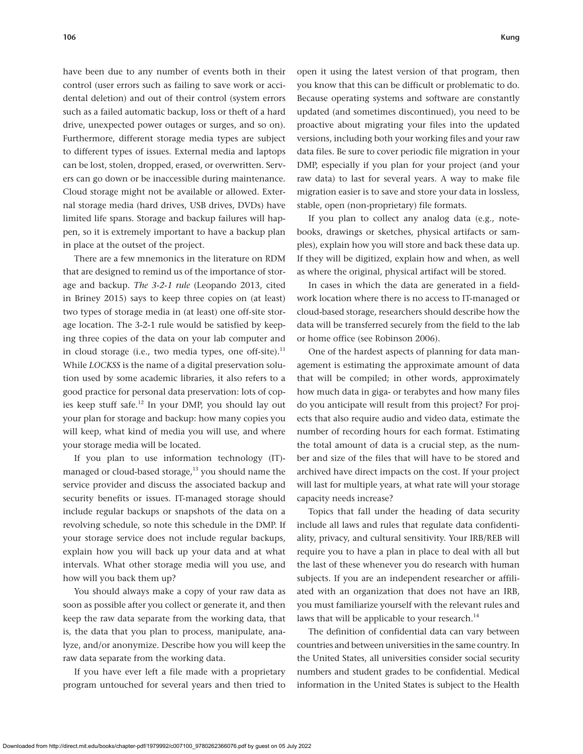have been due to any number of events both in their control (user errors such as failing to save work or accidental deletion) and out of their control (system errors such as a failed automatic backup, loss or theft of a hard drive, unexpected power outages or surges, and so on). Furthermore, different storage media types are subject to different types of issues. External media and laptops can be lost, stolen, dropped, erased, or overwritten. Servers can go down or be inaccessible during maintenance. Cloud storage might not be available or allowed. External storage media (hard drives, USB drives, DVDs) have limited life spans. Storage and backup failures will happen, so it is extremely important to have a backup plan in place at the outset of the project.

There are a few mnemonics in the literature on RDM that are designed to remind us of the importance of storage and backup. *The 3-2-1 rule* (Leopando 2013, cited in Briney 2015) says to keep three copies on (at least) two types of storage media in (at least) one off-site storage location. The 3-2-1 rule would be satisfied by keeping three copies of the data on your lab computer and in cloud storage (i.e., two media types, one off-site). $^{11}$ While *LOCKSS* is the name of a digital preservation solution used by some academic libraries, it also refers to a good practice for personal data preservation: lots of copies keep stuff safe.12 In your DMP, you should lay out your plan for storage and backup: how many copies you will keep, what kind of media you will use, and where your storage media will be located.

If you plan to use information technology (IT) managed or cloud-based storage, $13$  you should name the service provider and discuss the associated backup and security benefits or issues. IT-managed storage should include regular backups or snapshots of the data on a revolving schedule, so note this schedule in the DMP. If your storage service does not include regular backups, explain how you will back up your data and at what intervals. What other storage media will you use, and how will you back them up?

You should always make a copy of your raw data as soon as possible after you collect or generate it, and then keep the raw data separate from the working data, that is, the data that you plan to process, manipulate, analyze, and/or anonymize. Describe how you will keep the raw data separate from the working data.

If you have ever left a file made with a proprietary program untouched for several years and then tried to

open it using the latest version of that program, then you know that this can be difficult or problematic to do. Because operating systems and software are constantly updated (and sometimes discontinued), you need to be proactive about migrating your files into the updated versions, including both your working files and your raw data files. Be sure to cover periodic file migration in your DMP, especially if you plan for your project (and your raw data) to last for several years. A way to make file migration easier is to save and store your data in lossless, stable, open (non-proprietary) file formats.

If you plan to collect any analog data (e.g., notebooks, drawings or sketches, physical artifacts or samples), explain how you will store and back these data up. If they will be digitized, explain how and when, as well as where the original, physical artifact will be stored.

In cases in which the data are generated in a fieldwork location where there is no access to IT-managed or cloud-based storage, researchers should describe how the data will be transferred securely from the field to the lab or home office (see Robinson 2006).

One of the hardest aspects of planning for data management is estimating the approximate amount of data that will be compiled; in other words, approximately how much data in giga- or terabytes and how many files do you anticipate will result from this project? For projects that also require audio and video data, estimate the number of recording hours for each format. Estimating the total amount of data is a crucial step, as the number and size of the files that will have to be stored and archived have direct impacts on the cost. If your project will last for multiple years, at what rate will your storage capacity needs increase?

Topics that fall under the heading of data security include all laws and rules that regulate data confidentiality, privacy, and cultural sensitivity. Your IRB/REB will require you to have a plan in place to deal with all but the last of these whenever you do research with human subjects. If you are an independent researcher or affiliated with an organization that does not have an IRB, you must familiarize yourself with the relevant rules and laws that will be applicable to your research.<sup>14</sup>

The definition of confidential data can vary between countries and between universities in the same country. In the United States, all universities consider social security numbers and student grades to be confidential. Medical information in the United States is subject to the Health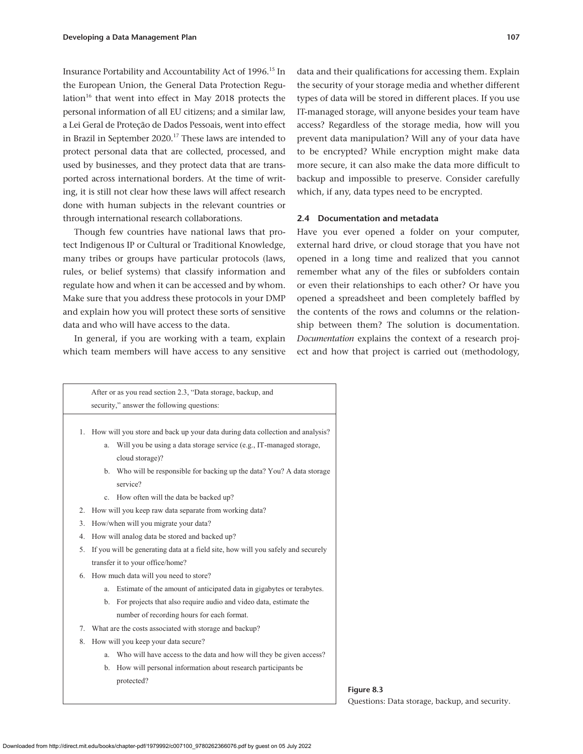Insurance Portability and Accountability Act of 1996.<sup>15</sup> In the European Union, the General Data Protection Regulation<sup>16</sup> that went into effect in May 2018 protects the personal information of all EU citizens; and a similar law, a Lei Geral de Proteção de Dados Pessoais, went into effect in Brazil in September  $2020$ .<sup>17</sup> These laws are intended to protect personal data that are collected, processed, and used by businesses, and they protect data that are transported across international borders. At the time of writing, it is still not clear how these laws will affect research done with human subjects in the relevant countries or through international research collaborations.

Though few countries have national laws that protect Indigenous IP or Cultural or Traditional Knowledge, many tribes or groups have particular protocols (laws, rules, or belief systems) that classify information and regulate how and when it can be accessed and by whom. Make sure that you address these protocols in your DMP and explain how you will protect these sorts of sensitive data and who will have access to the data.

In general, if you are working with a team, explain which team members will have access to any sensitive data and their qualifications for accessing them. Explain the security of your storage media and whether different types of data will be stored in different places. If you use IT-managed storage, will anyone besides your team have access? Regardless of the storage media, how will you prevent data manipulation? Will any of your data have to be encrypted? While encryption might make data more secure, it can also make the data more difficult to backup and impossible to preserve. Consider carefully which, if any, data types need to be encrypted.

### **2.4 Documentation and metadata**

Have you ever opened a folder on your computer, external hard drive, or cloud storage that you have not opened in a long time and realized that you cannot remember what any of the files or subfolders contain or even their relationships to each other? Or have you opened a spreadsheet and been completely baffled by the contents of the rows and columns or the relationship between them? The solution is documentation. *Documentation* explains the context of a research project and how that project is carried out (methodology,

|    |             | After or as you read section 2.3, "Data storage, backup, and                           |
|----|-------------|----------------------------------------------------------------------------------------|
|    |             | security," answer the following questions:                                             |
| 1. |             | How will you store and back up your data during data collection and analysis?          |
|    | a.          | Will you be using a data storage service (e.g., IT-managed storage,<br>cloud storage)? |
|    |             | b. Who will be responsible for backing up the data? You? A data storage<br>service?    |
|    | $c_{\cdot}$ | How often will the data be backed up?                                                  |
| 2. |             | How will you keep raw data separate from working data?                                 |
| 3. |             | How/when will you migrate your data?                                                   |
| 4. |             | How will analog data be stored and backed up?                                          |
| 5. |             | If you will be generating data at a field site, how will you safely and securely       |
|    |             | transfer it to your office/home?                                                       |
| 6. |             | How much data will you need to store?                                                  |
|    | a.          | Estimate of the amount of anticipated data in gigabytes or terabytes.                  |
|    |             | b. For projects that also require audio and video data, estimate the                   |
|    |             | number of recording hours for each format.                                             |
| 7. |             | What are the costs associated with storage and backup?                                 |
| 8. |             | How will you keep your data secure?                                                    |
|    | a.          | Who will have access to the data and how will they be given access?                    |
|    | b.          | How will personal information about research participants be                           |
|    |             | protected?                                                                             |
|    |             |                                                                                        |
|    |             |                                                                                        |

**Figure 8.3** Questions: Data storage, backup, and security.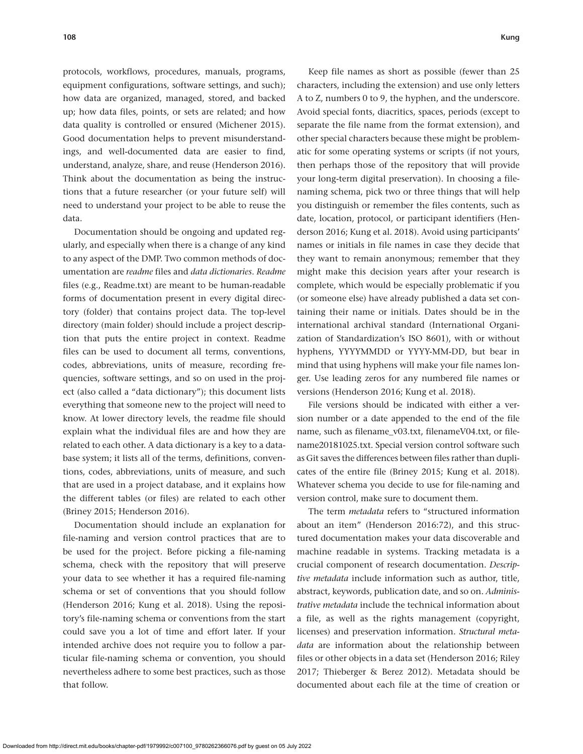protocols, workflows, procedures, manuals, programs, equipment configurations, software settings, and such); how data are organized, managed, stored, and backed up; how data files, points, or sets are related; and how data quality is controlled or ensured (Michener 2015). Good documentation helps to prevent misunderstandings, and well-documented data are easier to find, understand, analyze, share, and reuse (Henderson 2016). Think about the documentation as being the instructions that a future researcher (or your future self) will need to understand your project to be able to reuse the data.

Documentation should be ongoing and updated regularly, and especially when there is a change of any kind to any aspect of the DMP. Two common methods of documentation are *readme* files and *data dictionaries*. *Readme* files (e.g., Readme.txt) are meant to be human-readable forms of documentation present in every digital directory (folder) that contains project data. The top-level directory (main folder) should include a project description that puts the entire project in context. Readme files can be used to document all terms, conventions, codes, abbreviations, units of measure, recording frequencies, software settings, and so on used in the project (also called a "data dictionary"); this document lists everything that someone new to the project will need to know. At lower directory levels, the readme file should explain what the individual files are and how they are related to each other. A data dictionary is a key to a database system; it lists all of the terms, definitions, conventions, codes, abbreviations, units of measure, and such that are used in a project database, and it explains how the different tables (or files) are related to each other (Briney 2015; Henderson 2016).

Documentation should include an explanation for file-naming and version control practices that are to be used for the project. Before picking a file-naming schema, check with the repository that will preserve your data to see whether it has a required file-naming schema or set of conventions that you should follow (Henderson 2016; Kung et al. 2018). Using the repository's file-naming schema or conventions from the start could save you a lot of time and effort later. If your intended archive does not require you to follow a particular file-naming schema or convention, you should nevertheless adhere to some best practices, such as those that follow.

Keep file names as short as possible (fewer than 25 characters, including the extension) and use only letters A to Z, numbers 0 to 9, the hyphen, and the underscore. Avoid special fonts, diacritics, spaces, periods (except to separate the file name from the format extension), and other special characters because these might be problematic for some operating systems or scripts (if not yours, then perhaps those of the repository that will provide your long-term digital preservation). In choosing a filenaming schema, pick two or three things that will help you distinguish or remember the files contents, such as date, location, protocol, or participant identifiers (Henderson 2016; Kung et al. 2018). Avoid using participants' names or initials in file names in case they decide that they want to remain anonymous; remember that they might make this decision years after your research is complete, which would be especially problematic if you (or someone else) have already published a data set containing their name or initials. Dates should be in the international archival standard (International Organization of Standardization's ISO 8601), with or without hyphens, YYYYMMDD or YYYY-MM-DD, but bear in mind that using hyphens will make your file names longer. Use leading zeros for any numbered file names or versions (Henderson 2016; Kung et al. 2018).

File versions should be indicated with either a version number or a date appended to the end of the file name, such as filename\_v03.txt, filenameV04.txt, or filename20181025.txt. Special version control software such as Git saves the differences between files rather than duplicates of the entire file (Briney 2015; Kung et al. 2018). Whatever schema you decide to use for file-naming and version control, make sure to document them.

The term *metadata* refers to "structured information about an item" (Henderson 2016:72), and this structured documentation makes your data discoverable and machine readable in systems. Tracking metadata is a crucial component of research documentation. *Descriptive metadata* include information such as author, title, abstract, keywords, publication date, and so on. *Administrative metadata* include the technical information about a file, as well as the rights management (copyright, licenses) and preservation information. *Structural metadata* are information about the relationship between files or other objects in a data set (Henderson 2016; Riley 2017; Thieberger & Berez 2012). Metadata should be documented about each file at the time of creation or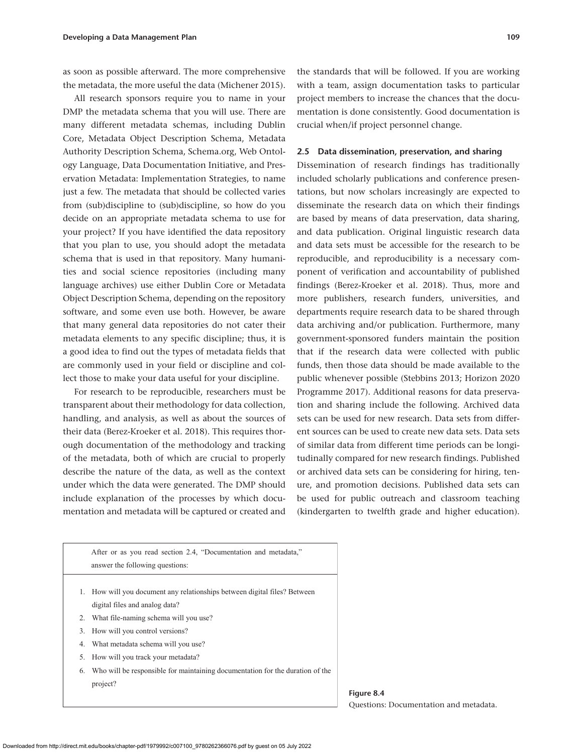as soon as possible afterward. The more comprehensive the metadata, the more useful the data (Michener 2015).

All research sponsors require you to name in your DMP the metadata schema that you will use. There are many different metadata schemas, including Dublin Core, Metadata Object Description Schema, Metadata Authority Description Schema, Schema.org, Web Ontology Language, Data Documentation Initiative, and Preservation Metadata: Implementation Strategies, to name just a few. The metadata that should be collected varies from (sub)discipline to (sub)discipline, so how do you decide on an appropriate metadata schema to use for your project? If you have identified the data repository that you plan to use, you should adopt the metadata schema that is used in that repository. Many humanities and social science repositories (including many language archives) use either Dublin Core or Metadata Object Description Schema, depending on the repository software, and some even use both. However, be aware that many general data repositories do not cater their metadata elements to any specific discipline; thus, it is a good idea to find out the types of metadata fields that are commonly used in your field or discipline and collect those to make your data useful for your discipline.

For research to be reproducible, researchers must be transparent about their methodology for data collection, handling, and analysis, as well as about the sources of their data (Berez-Kroeker et al. 2018). This requires thorough documentation of the methodology and tracking of the metadata, both of which are crucial to properly describe the nature of the data, as well as the context under which the data were generated. The DMP should include explanation of the processes by which documentation and metadata will be captured or created and

the standards that will be followed. If you are working with a team, assign documentation tasks to particular project members to increase the chances that the documentation is done consistently. Good documentation is crucial when/if project personnel change.

### **2.5 Data dissemination, preservation, and sharing**

Dissemination of research findings has traditionally included scholarly publications and conference presentations, but now scholars increasingly are expected to disseminate the research data on which their findings are based by means of data preservation, data sharing, and data publication. Original linguistic research data and data sets must be accessible for the research to be reproducible, and reproducibility is a necessary component of verification and accountability of published findings (Berez-Kroeker et al. 2018). Thus, more and more publishers, research funders, universities, and departments require research data to be shared through data archiving and/or publication. Furthermore, many government-sponsored funders maintain the position that if the research data were collected with public funds, then those data should be made available to the public whenever possible (Stebbins 2013; Horizon 2020 Programme 2017). Additional reasons for data preservation and sharing include the following. Archived data sets can be used for new research. Data sets from different sources can be used to create new data sets. Data sets of similar data from different time periods can be longitudinally compared for new research findings. Published or archived data sets can be considering for hiring, tenure, and promotion decisions. Published data sets can be used for public outreach and classroom teaching (kindergarten to twelfth grade and higher education).

After or as you read section 2.4, "Documentation and metadata," answer the following questions: 1. How will you document any relationships between digital files? Between digital files and analog data? 2. What file-naming schema will you use? 3. How will you control versions? 4. What metadata schema will you use? 5. How will you track your metadata? 6. Who will be responsible for maintaining documentation for the duration of the project?

**Figure 8.4** Questions: Documentation and metadata.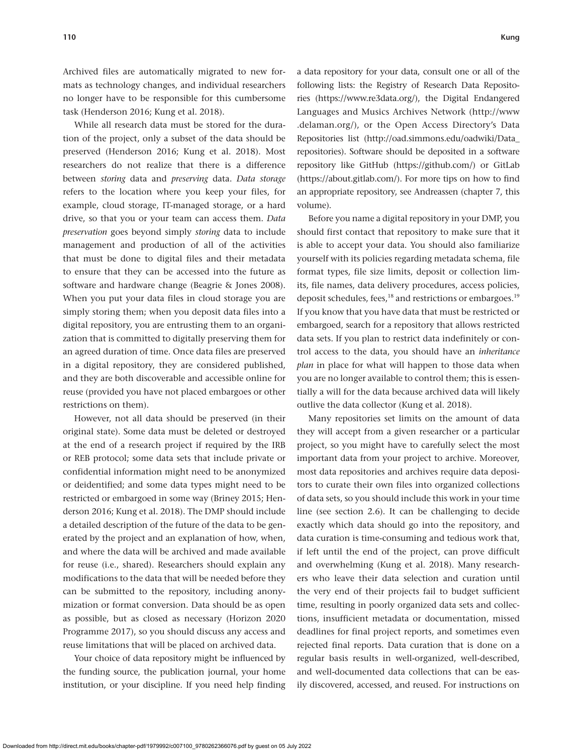Archived files are automatically migrated to new formats as technology changes, and individual researchers no longer have to be responsible for this cumbersome task (Henderson 2016; Kung et al. 2018).

While all research data must be stored for the duration of the project, only a subset of the data should be preserved (Henderson 2016; Kung et al. 2018). Most researchers do not realize that there is a difference between *storing* data and *preserving* data. *Data storage* refers to the location where you keep your files, for example, cloud storage, IT-managed storage, or a hard drive, so that you or your team can access them. *Data preservation* goes beyond simply *storing* data to include management and production of all of the activities that must be done to digital files and their metadata to ensure that they can be accessed into the future as software and hardware change (Beagrie & Jones 2008). When you put your data files in cloud storage you are simply storing them; when you deposit data files into a digital repository, you are entrusting them to an organization that is committed to digitally preserving them for an agreed duration of time. Once data files are preserved in a digital repository, they are considered published, and they are both discoverable and accessible online for reuse (provided you have not placed embargoes or other restrictions on them).

However, not all data should be preserved (in their original state). Some data must be deleted or destroyed at the end of a research project if required by the IRB or REB protocol; some data sets that include private or confidential information might need to be anonymized or deidentified; and some data types might need to be restricted or embargoed in some way (Briney 2015; Henderson 2016; Kung et al. 2018). The DMP should include a detailed description of the future of the data to be generated by the project and an explanation of how, when, and where the data will be archived and made available for reuse (i.e., shared). Researchers should explain any modifications to the data that will be needed before they can be submitted to the repository, including anonymization or format conversion. Data should be as open as possible, but as closed as necessary (Horizon 2020 Programme 2017), so you should discuss any access and reuse limitations that will be placed on archived data.

Your choice of data repository might be influenced by the funding source, the publication journal, your home institution, or your discipline. If you need help finding

a data repository for your data, consult one or all of the following lists: the Registry of Research Data Repositories [\(https://www.re3data.org/\)](https://www.re3data.org/), the Digital Endangered Languages and Musics Archives Network [\(http://www](http://www.delaman.org/) [.delaman.org/\)](http://www.delaman.org/), or the Open Access Directory's Data Repositories list [\(http://oad.simmons.edu/oadwiki/Data\\_](http://oad.simmons.edu/oadwiki/Data_repositories) [repositories](http://oad.simmons.edu/oadwiki/Data_repositories)). Software should be deposited in a software repository like GitHub [\(https://github.com/\)](https://github.com/) or GitLab [\(https://about.gitlab.com/\)](https://about.gitlab.com/). For more tips on how to find an appropriate repository, see Andreassen (chapter 7, this volume).

Before you name a digital repository in your DMP, you should first contact that repository to make sure that it is able to accept your data. You should also familiarize yourself with its policies regarding metadata schema, file format types, file size limits, deposit or collection limits, file names, data delivery procedures, access policies, deposit schedules, fees,<sup>18</sup> and restrictions or embargoes.<sup>19</sup> If you know that you have data that must be restricted or embargoed, search for a repository that allows restricted data sets. If you plan to restrict data indefinitely or control access to the data, you should have an *inheritance plan* in place for what will happen to those data when you are no longer available to control them; this is essentially a will for the data because archived data will likely outlive the data collector (Kung et al. 2018).

Many repositories set limits on the amount of data they will accept from a given researcher or a particular project, so you might have to carefully select the most important data from your project to archive. Moreover, most data repositories and archives require data depositors to curate their own files into organized collections of data sets, so you should include this work in your time line (see section 2.6). It can be challenging to decide exactly which data should go into the repository, and data curation is time-consuming and tedious work that, if left until the end of the project, can prove difficult and overwhelming (Kung et al. 2018). Many researchers who leave their data selection and curation until the very end of their projects fail to budget sufficient time, resulting in poorly organized data sets and collections, insufficient metadata or documentation, missed deadlines for final project reports, and sometimes even rejected final reports. Data curation that is done on a regular basis results in well-organized, well-described, and well-documented data collections that can be easily discovered, accessed, and reused. For instructions on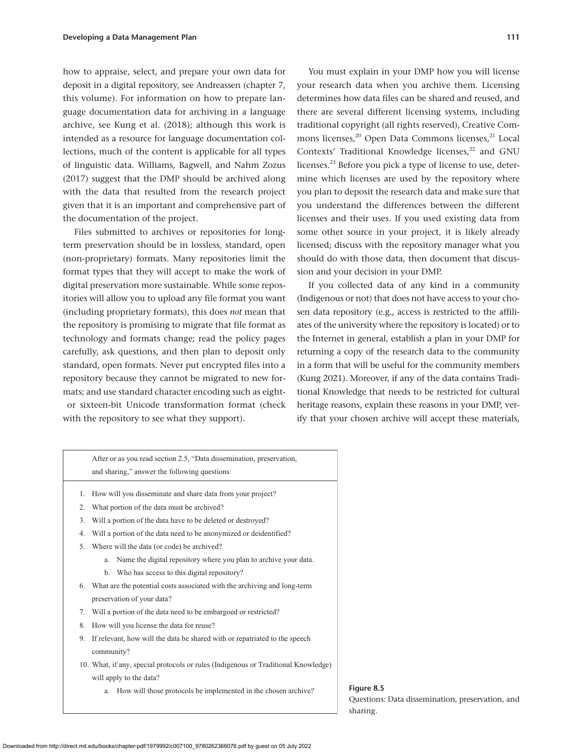how to appraise, select, and prepare your own data for deposit in a digital repository, see Andreassen (chapter 7, this volume). For information on how to prepare language documentation data for archiving in a language archive, see Kung et al. (2018); although this work is intended as a resource for language documentation collections, much of the content is applicable for all types of linguistic data. Williams, Bagwell, and Nahm Zozus (2017) suggest that the DMP should be archived along with the data that resulted from the research project given that it is an important and comprehensive part of the documentation of the project.

Files submitted to archives or repositories for longterm preservation should be in lossless, standard, open (non-proprietary) formats. Many repositories limit the format types that they will accept to make the work of digital preservation more sustainable. While some repositories will allow you to upload any file format you want (including proprietary formats), this does *not* mean that the repository is promising to migrate that file format as technology and formats change; read the policy pages carefully, ask questions, and then plan to deposit only standard, open formats. Never put encrypted files into a repository because they cannot be migrated to new formats; and use standard character encoding such as eight or sixteen-bit Unicode transformation format (check with the repository to see what they support).

You must explain in your DMP how you will license your research data when you archive them. Licensing determines how data files can be shared and reused, and there are several different licensing systems, including traditional copyright (all rights reserved), Creative Commons licenses.<sup>20</sup> Open Data Commons licenses.<sup>21</sup> Local Contexts' Traditional Knowledge licenses,<sup>22</sup> and GNU licenses.<sup>23</sup> Before you pick a type of license to use, determine which licenses are used by the repository where you plan to deposit the research data and make sure that you understand the differences between the different licenses and their uses. If you used existing data from some other source in your project, it is likely already licensed; discuss with the repository manager what you should do with those data, then document that discussion and your decision in your DMP.

If you collected data of any kind in a community (Indigenous or not) that does not have access to your chosen data repository (e.g., access is restricted to the affiliates of the university where the repository is located) or to the Internet in general, establish a plan in your DMP for returning a copy of the research data to the community in a form that will be useful for the community members (Kung 2021). Moreover, if any of the data contains Traditional Knowledge that needs to be restricted for cultural heritage reasons, explain these reasons in your DMP, verify that your chosen archive will accept these materials,

|    | After or as you read section 2.5, "Data dissemination, preservation,               |
|----|------------------------------------------------------------------------------------|
|    | and sharing," answer the following questions:                                      |
|    |                                                                                    |
| 1. | How will you disseminate and share data from your project?                         |
| 2. | What portion of the data must be archived?                                         |
| 3. | Will a portion of the data have to be deleted or destroyed?                        |
| 4. | Will a portion of the data need to be anonymized or deidentified?                  |
| 5. | Where will the data (or code) be archived?                                         |
|    | Name the digital repository where you plan to archive your data.<br>a.             |
|    | Who has access to this digital repository?<br>b.                                   |
| 6. | What are the potential costs associated with the archiving and long-term           |
|    | preservation of your data?                                                         |
| 7. | Will a portion of the data need to be embargoed or restricted?                     |
| 8. | How will you license the data for reuse?                                           |
| 9. | If relevant, how will the data be shared with or repatriated to the speech         |
|    | community?                                                                         |
|    | 10. What, if any, special protocols or rules (Indigenous or Traditional Knowledge) |
|    | will apply to the data?                                                            |
|    | How will those protocols be implemented in the chosen archive?<br>a.               |
|    |                                                                                    |

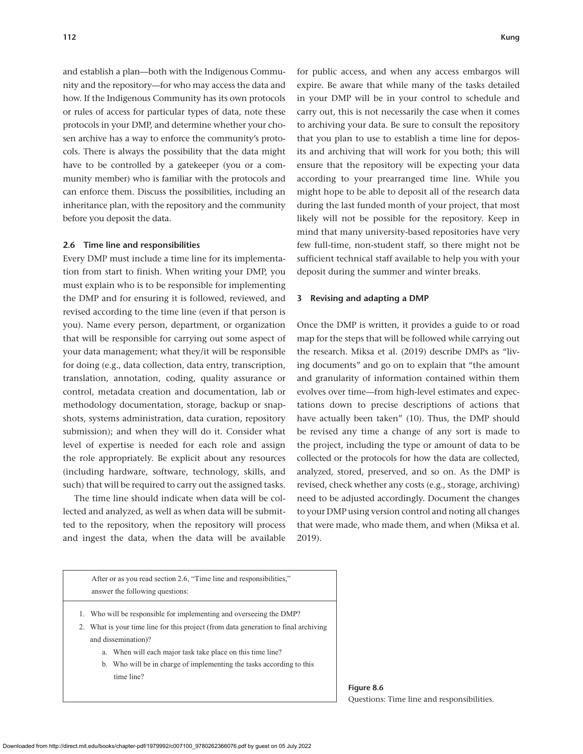and establish a plan—both with the Indigenous Community and the repository—for who may access the data and how. If the Indigenous Community has its own protocols or rules of access for particular types of data, note these protocols in your DMP, and determine whether your chosen archive has a way to enforce the community's protocols. There is always the possibility that the data might have to be controlled by a gatekeeper (you or a community member) who is familiar with the protocols and can enforce them. Discuss the possibilities, including an inheritance plan, with the repository and the community before you deposit the data.

### **2.6 Time line and responsibilities**

Every DMP must include a time line for its implementation from start to finish. When writing your DMP, you must explain who is to be responsible for implementing the DMP and for ensuring it is followed, reviewed, and revised according to the time line (even if that person is you). Name every person, department, or organization that will be responsible for carrying out some aspect of your data management; what they/it will be responsible for doing (e.g., data collection, data entry, transcription, translation, annotation, coding, quality assurance or control, metadata creation and documentation, lab or methodology documentation, storage, backup or snapshots, systems administration, data curation, repository submission); and when they will do it. Consider what level of expertise is needed for each role and assign the role appropriately. Be explicit about any resources (including hardware, software, technology, skills, and such) that will be required to carry out the assigned tasks.

The time line should indicate when data will be collected and analyzed, as well as when data will be submitted to the repository, when the repository will process and ingest the data, when the data will be available

for public access, and when any access embargos will expire. Be aware that while many of the tasks detailed in your DMP will be in your control to schedule and carry out, this is not necessarily the case when it comes to archiving your data. Be sure to consult the repository that you plan to use to establish a time line for deposits and archiving that will work for you both; this will ensure that the repository will be expecting your data according to your prearranged time line. While you might hope to be able to deposit all of the research data during the last funded month of your project, that most likely will not be possible for the repository. Keep in mind that many university-based repositories have very few full-time, non-student staff, so there might not be sufficient technical staff available to help you with your deposit during the summer and winter breaks.

### **3 Revising and adapting a DMP**

Once the DMP is written, it provides a guide to or road map for the steps that will be followed while carrying out the research. Miksa et al. (2019) describe DMPs as "living documents" and go on to explain that "the amount and granularity of information contained within them evolves over time—from high-level estimates and expectations down to precise descriptions of actions that have actually been taken" (10). Thus, the DMP should be revised any time a change of any sort is made to the project, including the type or amount of data to be collected or the protocols for how the data are collected, analyzed, stored, preserved, and so on. As the DMP is revised, check whether any costs (e.g., storage, archiving) need to be adjusted accordingly. Document the changes to your DMP using version control and noting all changes that were made, who made them, and when (Miksa et al. 2019).

- After or as you read section 2.6, "Time line and responsibilities," answer the following questions:
- 1. Who will be responsible for implementing and overseeing the DMP?
- 2. What is your time line for this project (from data generation to final archiving and dissemination)?
	- a. When will each major task take place on this time line?
	- b. Who will be in charge of implementing the tasks according to this time line?

**Figure 8.6** Questions: Time line and responsibilities.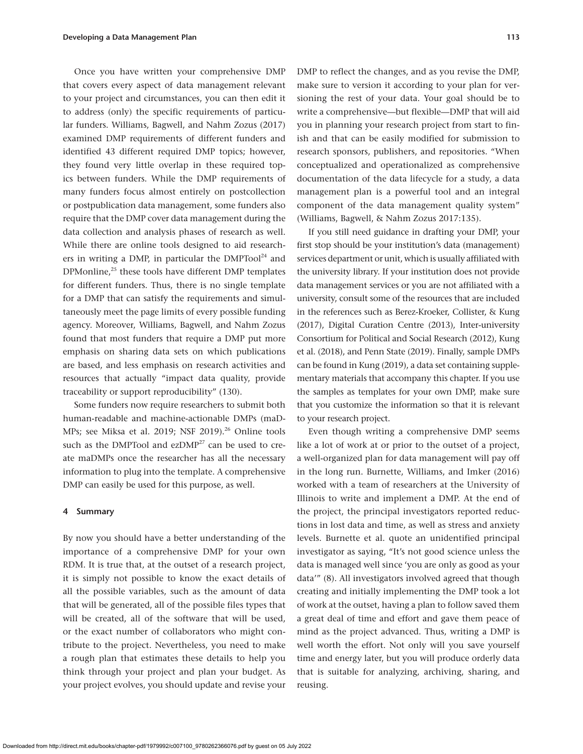Once you have written your comprehensive DMP that covers every aspect of data management relevant to your project and circumstances, you can then edit it to address (only) the specific requirements of particular funders. Williams, Bagwell, and Nahm Zozus (2017) examined DMP requirements of different funders and identified 43 different required DMP topics; however, they found very little overlap in these required topics between funders. While the DMP requirements of many funders focus almost entirely on postcollection or postpublication data management, some funders also require that the DMP cover data management during the data collection and analysis phases of research as well. While there are online tools designed to aid researchers in writing a DMP, in particular the  $DMPTool<sup>24</sup>$  and DPMonline, $^{25}$  these tools have different DMP templates for different funders. Thus, there is no single template for a DMP that can satisfy the requirements and simultaneously meet the page limits of every possible funding agency. Moreover, Williams, Bagwell, and Nahm Zozus found that most funders that require a DMP put more emphasis on sharing data sets on which publications are based, and less emphasis on research activities and resources that actually "impact data quality, provide traceability or support reproducibility" (130).

Some funders now require researchers to submit both human-readable and machine-actionable DMPs (maD-MPs: see Miksa et al. 2019: NSF 2019).<sup>26</sup> Online tools such as the DMPTool and  $eZDMP^{27}$  can be used to create maDMPs once the researcher has all the necessary information to plug into the template. A comprehensive DMP can easily be used for this purpose, as well.

### **4 Summary**

By now you should have a better understanding of the importance of a comprehensive DMP for your own RDM. It is true that, at the outset of a research project, it is simply not possible to know the exact details of all the possible variables, such as the amount of data that will be generated, all of the possible files types that will be created, all of the software that will be used, or the exact number of collaborators who might contribute to the project. Nevertheless, you need to make a rough plan that estimates these details to help you think through your project and plan your budget. As your project evolves, you should update and revise your

DMP to reflect the changes, and as you revise the DMP, make sure to version it according to your plan for versioning the rest of your data. Your goal should be to write a comprehensive—but flexible—DMP that will aid you in planning your research project from start to finish and that can be easily modified for submission to research sponsors, publishers, and repositories. "When conceptualized and operationalized as comprehensive documentation of the data lifecycle for a study, a data management plan is a powerful tool and an integral component of the data management quality system" (Williams, Bagwell, & Nahm Zozus 2017:135).

If you still need guidance in drafting your DMP, your first stop should be your institution's data (management) services department or unit, which is usually affiliated with the university library. If your institution does not provide data management services or you are not affiliated with a university, consult some of the resources that are included in the references such as Berez-Kroeker, Collister, & Kung (2017), Digital Curation Centre (2013), Inter-university Consortium for Political and Social Research (2012), Kung et al. (2018), and Penn State (2019). Finally, sample DMPs can be found in Kung (2019), a data set containing supplementary materials that accompany this chapter. If you use the samples as templates for your own DMP, make sure that you customize the information so that it is relevant to your research project.

Even though writing a comprehensive DMP seems like a lot of work at or prior to the outset of a project, a well-organized plan for data management will pay off in the long run. Burnette, Williams, and Imker (2016) worked with a team of researchers at the University of Illinois to write and implement a DMP. At the end of the project, the principal investigators reported reductions in lost data and time, as well as stress and anxiety levels. Burnette et al. quote an unidentified principal investigator as saying, "It's not good science unless the data is managed well since 'you are only as good as your data'" (8). All investigators involved agreed that though creating and initially implementing the DMP took a lot of work at the outset, having a plan to follow saved them a great deal of time and effort and gave them peace of mind as the project advanced. Thus, writing a DMP is well worth the effort. Not only will you save yourself time and energy later, but you will produce orderly data that is suitable for analyzing, archiving, sharing, and reusing.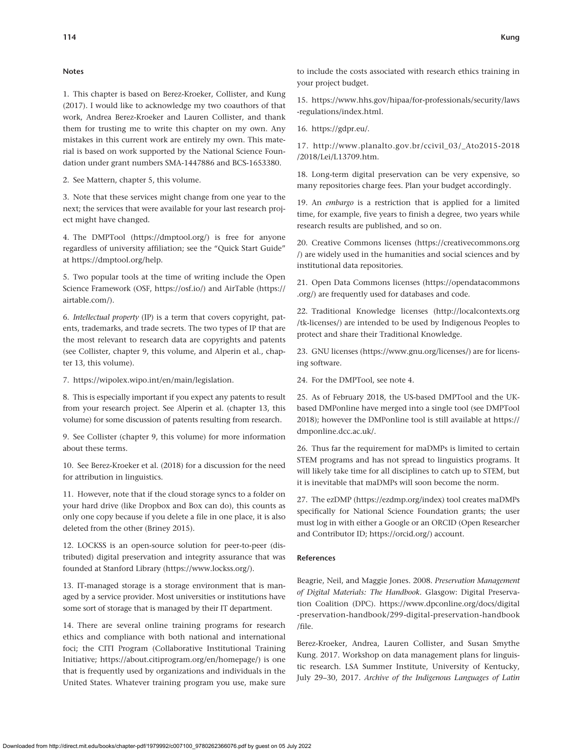#### **Notes**

1. This chapter is based on Berez-Kroeker, Collister, and Kung (2017). I would like to acknowledge my two coauthors of that work, Andrea Berez-Kroeker and Lauren Collister, and thank them for trusting me to write this chapter on my own. Any mistakes in this current work are entirely my own. This material is based on work supported by the National Science Foundation under grant numbers SMA-1447886 and BCS-1653380.

2. See Mattern, chapter 5, this volume.

3. Note that these services might change from one year to the next; the services that were available for your last research project might have changed.

4. The DMPTool [\(https://dmptool.org/](https://dmptool.org/)) is free for anyone regardless of university affiliation; see the "Quick Start Guide" at [https://dmptool.org/help.](https://dmptool.org/help)

5. Two popular tools at the time of writing include the Open Science Framework (OSF,<https://osf.io/>) and AirTable [\(https://](https://airtable.com/) [airtable.com/](https://airtable.com/)).

6. *Intellectual property* (IP) is a term that covers copyright, patents, trademarks, and trade secrets. The two types of IP that are the most relevant to research data are copyrights and patents (see Collister, chapter 9, this volume, and Alperin et al., chapter 13, this volume).

7. [https://wipolex.wipo.int/en/main/legislation.](https://wipolex.wipo.int/en/main/legislation)

8. This is especially important if you expect any patents to result from your research project. See Alperin et al. (chapter 13, this volume) for some discussion of patents resulting from research.

9. See Collister (chapter 9, this volume) for more information about these terms.

10. See Berez-Kroeker et al. (2018) for a discussion for the need for attribution in linguistics.

11. However, note that if the cloud storage syncs to a folder on your hard drive (like Dropbox and Box can do), this counts as only one copy because if you delete a file in one place, it is also deleted from the other (Briney 2015).

12. LOCKSS is an open-source solution for peer-to-peer (distributed) digital preservation and integrity assurance that was founded at Stanford Library [\(https://www.lockss.org/](https://www.lockss.org/)).

13. IT-managed storage is a storage environment that is managed by a service provider. Most universities or institutions have some sort of storage that is managed by their IT department.

14. There are several online training programs for research ethics and compliance with both national and international foci; the CITI Program (Collaborative Institutional Training Initiative; <https://about.citiprogram.org/en/homepage/>) is one that is frequently used by organizations and individuals in the United States. Whatever training program you use, make sure

to include the costs associated with research ethics training in your project budget.

15. [https://www.hhs.gov/hipaa/for-professionals/security/laws](https://www.hhs.gov/hipaa/for-professionals/security/laws-regulations/index.html) [-regulations/index.html.](https://www.hhs.gov/hipaa/for-professionals/security/laws-regulations/index.html)

16. [https://gdpr.eu/.](https://gdpr.eu/)

17. [http://www.planalto.gov.br/ccivil\\_03/\\_Ato2015-2018](http://www.planalto.gov.br/ccivil_03/_Ato2015-2018/2018/Lei/L13709.htm) [/2018/Lei/L13709.htm](http://www.planalto.gov.br/ccivil_03/_Ato2015-2018/2018/Lei/L13709.htm).

18. Long-term digital preservation can be very expensive, so many repositories charge fees. Plan your budget accordingly.

19. An *embargo* is a restriction that is applied for a limited time, for example, five years to finish a degree, two years while research results are published, and so on.

20. Creative Commons licenses [\(https://creativecommons.org](https://creativecommons.org/) [/](https://creativecommons.org/)) are widely used in the humanities and social sciences and by institutional data repositories.

21. Open Data Commons licenses ([https://opendatacommons](https://opendatacommons.org/) [.org/](https://opendatacommons.org/)) are frequently used for databases and code.

22. Traditional Knowledge licenses [\(http://localcontexts.org](http://localcontexts.org/tk-licenses/) [/tk-licenses/\)](http://localcontexts.org/tk-licenses/) are intended to be used by Indigenous Peoples to protect and share their Traditional Knowledge.

23. GNU licenses [\(https://www.gnu.org/licenses/](https://www.gnu.org/licenses/)) are for licensing software.

24. For the DMPTool, see note 4.

25. As of February 2018, the US-based DMPTool and the UKbased DMPonline have merged into a single tool (see DMPTool 2018); however the DMPonline tool is still available at [https://](https://dmponline.dcc.ac.uk/) [dmponline.dcc.ac.uk/.](https://dmponline.dcc.ac.uk/)

26. Thus far the requirement for maDMPs is limited to certain STEM programs and has not spread to linguistics programs. It will likely take time for all disciplines to catch up to STEM, but it is inevitable that maDMPs will soon become the norm.

27. The ezDMP [\(https://ezdmp.org/index](https://ezdmp.org/index)) tool creates maDMPs specifically for National Science Foundation grants; the user must log in with either a Google or an ORCID (Open Researcher and Contributor ID;<https://orcid.org/>) account.

### **References**

Beagrie, Neil, and Maggie Jones. 2008. *Preservation Management of Digital Materials: The Handbook*. Glasgow: Digital Preservation Coalition (DPC). [https://www.dpconline.org/docs/digital](https://www.dpconline.org/docs/digital-preservation-handbook/299-digital-preservation-handbook/file) [-preservation-handbook/299-digital-preservation-handbook](https://www.dpconline.org/docs/digital-preservation-handbook/299-digital-preservation-handbook/file) [/file.](https://www.dpconline.org/docs/digital-preservation-handbook/299-digital-preservation-handbook/file)

Berez-Kroeker, Andrea, Lauren Collister, and Susan Smythe Kung. 2017. Workshop on data management plans for linguistic research. LSA Summer Institute, University of Kentucky, July 29–30, 2017. *Archive of the Indigenous Languages of Latin*